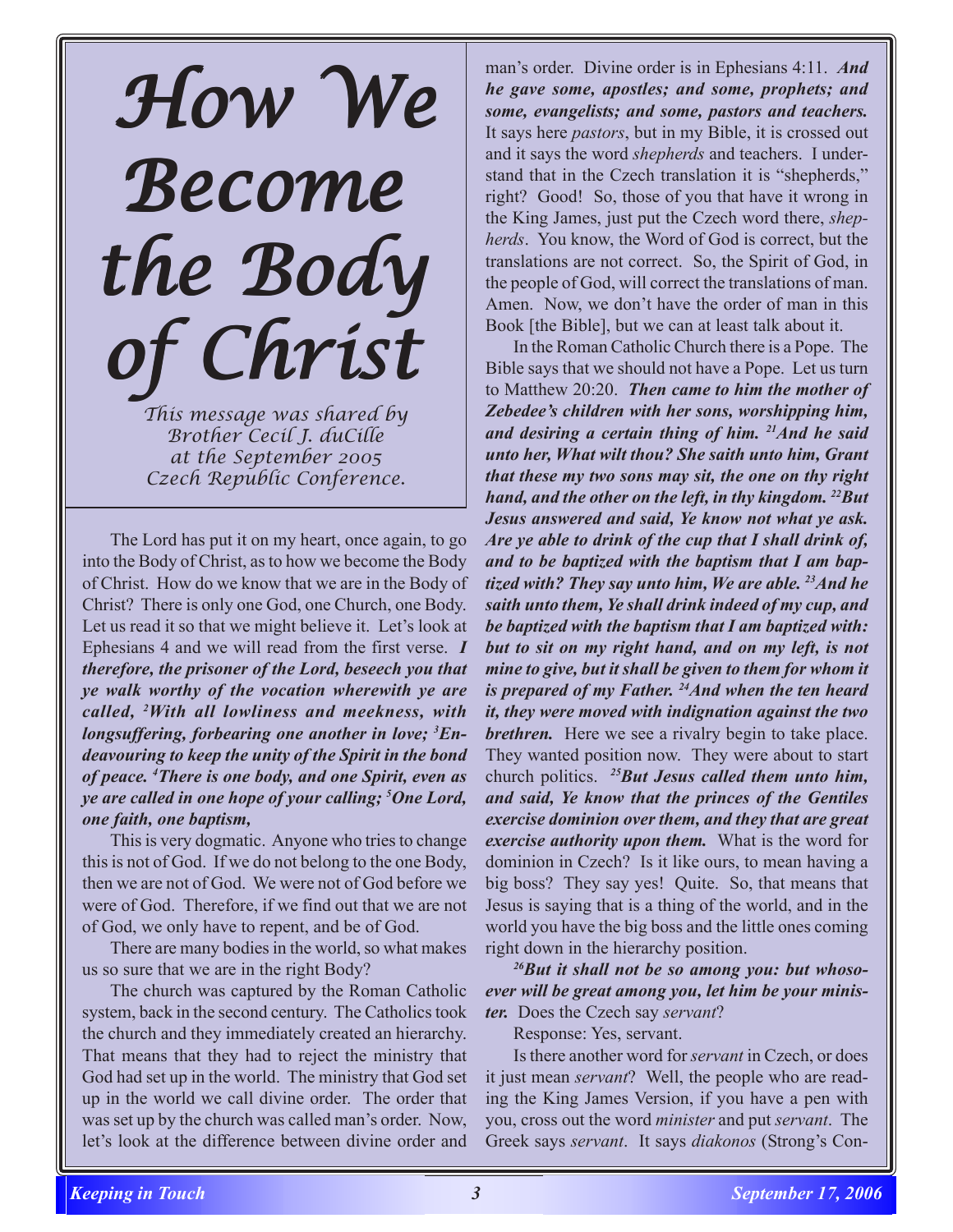## *How We Become the Body the Body the Body of Christ of Christ of Christ*

*This message was shared by Brother Cecil J. duCille at the September 2005 Czech Republic Conference.*

The Lord has put it on my heart, once again, to go into the Body of Christ, as to how we become the Body of Christ. How do we know that we are in the Body of Christ? There is only one God, one Church, one Body. Let us read it so that we might believe it. Let's look at Ephesians 4 and we will read from the first verse. *I therefore, the prisoner of the Lord, beseech you that ye walk worthy of the vocation wherewith ye are called, 2 With all lowliness and meekness, with longsuffering, forbearing one another in love; 3 Endeavouring to keep the unity of the Spirit in the bond of peace. 4 There is one body, and one Spirit, even as ye are called in one hope of your calling; 5 One Lord, one faith, one baptism,*

This is very dogmatic. Anyone who tries to change this is not of God. If we do not belong to the one Body, then we are not of God. We were not of God before we were of God. Therefore, if we find out that we are not of God, we only have to repent, and be of God.

There are many bodies in the world, so what makes us so sure that we are in the right Body?

The church was captured by the Roman Catholic system, back in the second century. The Catholics took the church and they immediately created an hierarchy. That means that they had to reject the ministry that God had set up in the world. The ministry that God set up in the world we call divine order. The order that was set up by the church was called man's order. Now, let's look at the difference between divine order and

man's order. Divine order is in Ephesians 4:11. *And he gave some, apostles; and some, prophets; and some, evangelists; and some, pastors and teachers.* It says here *pastors*, but in my Bible, it is crossed out and it says the word *shepherds* and teachers. I understand that in the Czech translation it is "shepherds," right? Good! So, those of you that have it wrong in the King James, just put the Czech word there, *shepherds*. You know, the Word of God is correct, but the translations are not correct. So, the Spirit of God, in the people of God, will correct the translations of man. Amen. Now, we don't have the order of man in this Book [the Bible], but we can at least talk about it.

In the Roman Catholic Church there is a Pope. The Bible says that we should not have a Pope. Let us turn to Matthew 20:20. *Then came to him the mother of Zebedee's children with her sons, worshipping him, and desiring a certain thing of him. 21And he said unto her, What wilt thou? She saith unto him, Grant that these my two sons may sit, the one on thy right hand, and the other on the left, in thy kingdom. 22But Jesus answered and said, Ye know not what ye ask. Are ye able to drink of the cup that I shall drink of, and to be baptized with the baptism that I am baptized with? They say unto him, We are able. 23And he saith unto them, Ye shall drink indeed of my cup, and be baptized with the baptism that I am baptized with: but to sit on my right hand, and on my left, is not mine to give, but it shall be given to them for whom it is prepared of my Father. 24And when the ten heard it, they were moved with indignation against the two brethren.* Here we see a rivalry begin to take place. They wanted position now. They were about to start church politics. *25But Jesus called them unto him, and said, Ye know that the princes of the Gentiles exercise dominion over them, and they that are great exercise authority upon them.* What is the word for dominion in Czech? Is it like ours, to mean having a big boss? They say yes! Quite. So, that means that Jesus is saying that is a thing of the world, and in the world you have the big boss and the little ones coming right down in the hierarchy position.

*26But it shall not be so among you: but whosoever will be great among you, let him be your minister.* Does the Czech say *servant*?

Response: Yes, servant.

Is there another word for *servant* in Czech, or does it just mean *servant*? Well, the people who are reading the King James Version, if you have a pen with you, cross out the word *minister* and put *servant*. The Greek says *servant*. It says *diakonos* (Strong's Con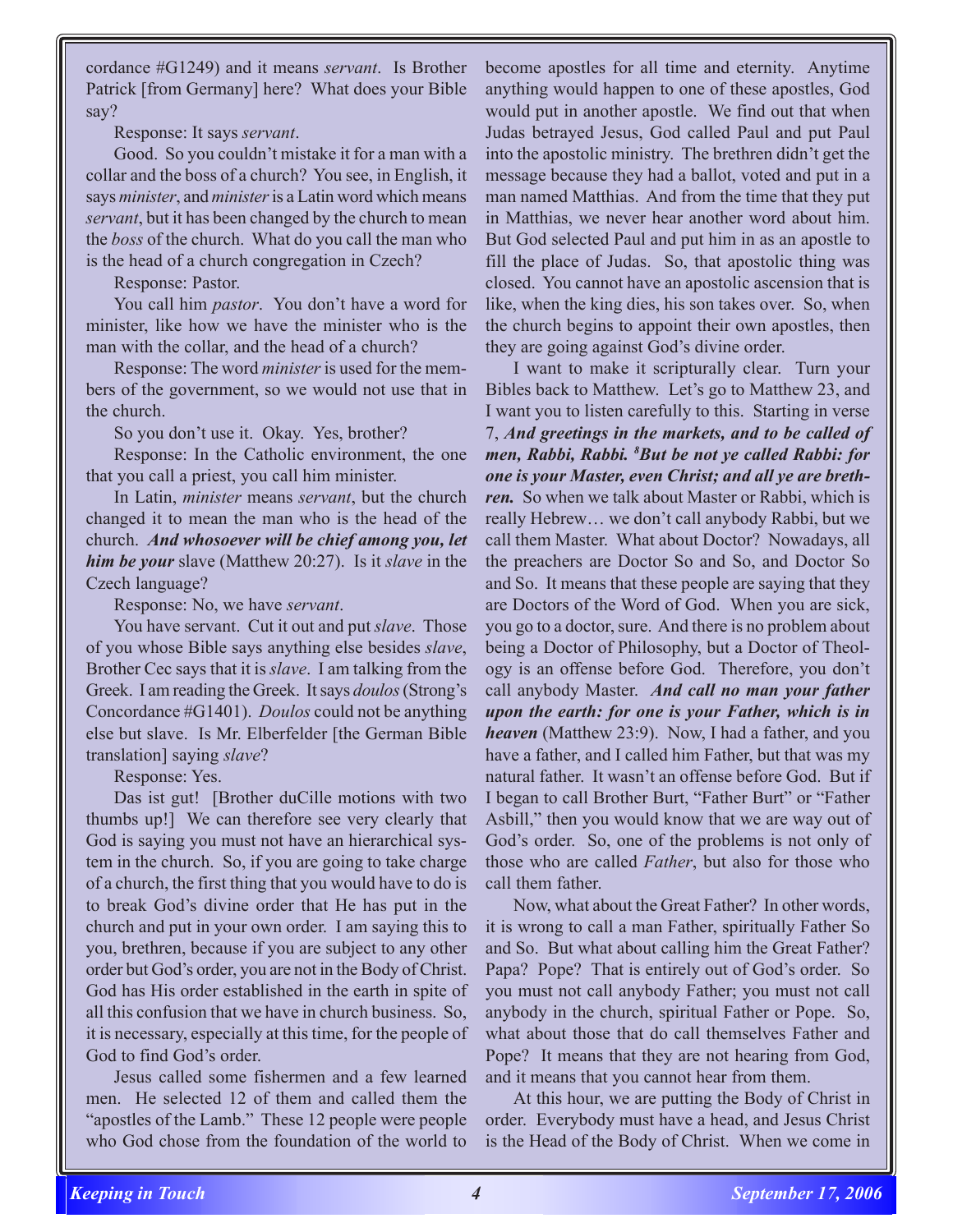cordance #G1249) and it means *servant*. Is Brother Patrick [from Germany] here? What does your Bible say?

Response: It says *servant*.

Good. So you couldn't mistake it for a man with a collar and the boss of a church? You see, in English, it says *minister*, and *minister* is a Latin word which means *servant*, but it has been changed by the church to mean the *boss* of the church. What do you call the man who is the head of a church congregation in Czech?

Response: Pastor.

You call him *pastor*. You don't have a word for minister, like how we have the minister who is the man with the collar, and the head of a church?

Response: The word *minister* is used for the members of the government, so we would not use that in the church.

So you don't use it. Okay. Yes, brother?

Response: In the Catholic environment, the one that you call a priest, you call him minister.

In Latin, *minister* means *servant*, but the church changed it to mean the man who is the head of the church. *And whosoever will be chief among you, let him be your* slave (Matthew 20:27). Is it *slave* in the Czech language?

Response: No, we have *servant*.

You have servant. Cut it out and put *slave*. Those of you whose Bible says anything else besides *slave*, Brother Cec says that it is *slave*. I am talking from the Greek. I am reading the Greek. It says *doulos* (Strong's Concordance #G1401). *Doulos* could not be anything else but slave. Is Mr. Elberfelder [the German Bible translation] saying *slave*?

Response: Yes.

Das ist gut! [Brother duCille motions with two thumbs up!] We can therefore see very clearly that God is saying you must not have an hierarchical system in the church. So, if you are going to take charge of a church, the first thing that you would have to do is to break God's divine order that He has put in the church and put in your own order. I am saying this to you, brethren, because if you are subject to any other order but God's order, you are not in the Body of Christ. God has His order established in the earth in spite of all this confusion that we have in church business. So, it is necessary, especially at this time, for the people of God to find God's order.

Jesus called some fishermen and a few learned men. He selected 12 of them and called them the "apostles of the Lamb." These 12 people were people who God chose from the foundation of the world to

become apostles for all time and eternity. Anytime anything would happen to one of these apostles, God would put in another apostle. We find out that when Judas betrayed Jesus, God called Paul and put Paul into the apostolic ministry. The brethren didn't get the message because they had a ballot, voted and put in a man named Matthias. And from the time that they put in Matthias, we never hear another word about him. But God selected Paul and put him in as an apostle to fill the place of Judas. So, that apostolic thing was closed. You cannot have an apostolic ascension that is like, when the king dies, his son takes over. So, when the church begins to appoint their own apostles, then they are going against God's divine order.

I want to make it scripturally clear. Turn your Bibles back to Matthew. Let's go to Matthew 23, and I want you to listen carefully to this. Starting in verse 7, *And greetings in the markets, and to be called of men, Rabbi, Rabbi. 8 But be not ye called Rabbi: for one is your Master, even Christ; and all ye are brethren.* So when we talk about Master or Rabbi, which is really Hebrew… we don't call anybody Rabbi, but we call them Master. What about Doctor? Nowadays, all the preachers are Doctor So and So, and Doctor So and So. It means that these people are saying that they are Doctors of the Word of God. When you are sick, you go to a doctor, sure. And there is no problem about being a Doctor of Philosophy, but a Doctor of Theology is an offense before God. Therefore, you don't call anybody Master. *And call no man your father upon the earth: for one is your Father, which is in heaven* (Matthew 23:9). Now, I had a father, and you have a father, and I called him Father, but that was my natural father. It wasn't an offense before God. But if I began to call Brother Burt, "Father Burt" or "Father Asbill," then you would know that we are way out of God's order. So, one of the problems is not only of those who are called *Father*, but also for those who call them father

Now, what about the Great Father? In other words, it is wrong to call a man Father, spiritually Father So and So. But what about calling him the Great Father? Papa? Pope? That is entirely out of God's order. So you must not call anybody Father; you must not call anybody in the church, spiritual Father or Pope. So, what about those that do call themselves Father and Pope? It means that they are not hearing from God, and it means that you cannot hear from them.

At this hour, we are putting the Body of Christ in order. Everybody must have a head, and Jesus Christ is the Head of the Body of Christ. When we come in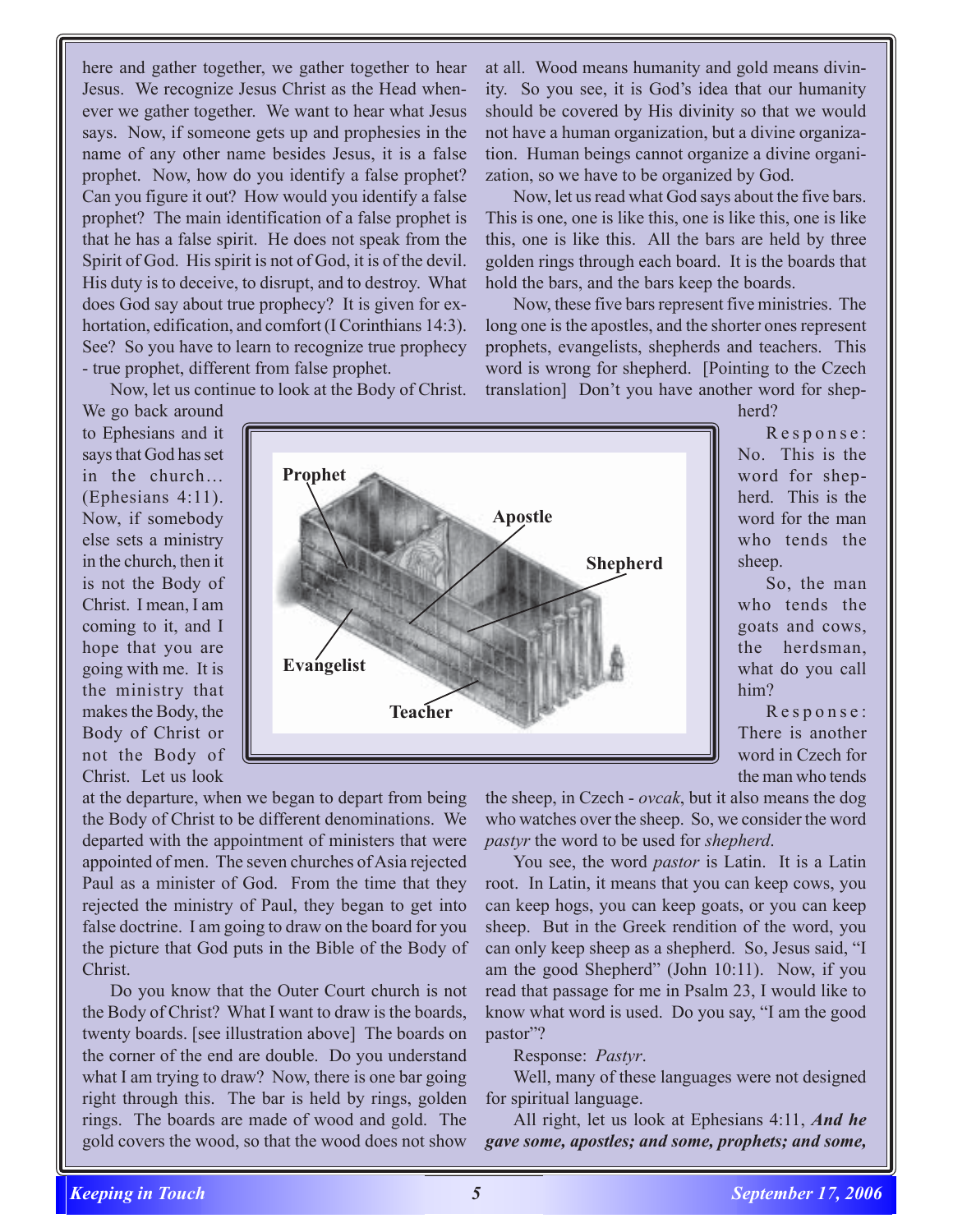here and gather together, we gather together to hear Jesus. We recognize Jesus Christ as the Head whenever we gather together. We want to hear what Jesus says. Now, if someone gets up and prophesies in the name of any other name besides Jesus, it is a false prophet. Now, how do you identify a false prophet? Can you figure it out? How would you identify a false prophet? The main identification of a false prophet is that he has a false spirit. He does not speak from the Spirit of God. His spirit is not of God, it is of the devil. His duty is to deceive, to disrupt, and to destroy. What does God say about true prophecy? It is given for exhortation, edification, and comfort (I Corinthians 14:3). See? So you have to learn to recognize true prophecy - true prophet, different from false prophet.

Now, let us continue to look at the Body of Christ.

We go back around to Ephesians and it says that God has set in the church… (Ephesians 4:11). Now, if somebody else sets a ministry in the church, then it is not the Body of Christ. I mean, I am coming to it, and I hope that you are going with me. It is the ministry that makes the Body, the Body of Christ or not the Body of Christ. Let us look



at all. Wood means humanity and gold means divinity. So you see, it is God's idea that our humanity should be covered by His divinity so that we would not have a human organization, but a divine organization. Human beings cannot organize a divine organization, so we have to be organized by God.

Now, let us read what God says about the five bars. This is one, one is like this, one is like this, one is like this, one is like this. All the bars are held by three golden rings through each board. It is the boards that hold the bars, and the bars keep the boards.

Now, these five bars represent five ministries. The long one is the apostles, and the shorter ones represent prophets, evangelists, shepherds and teachers. This word is wrong for shepherd. [Pointing to the Czech translation] Don't you have another word for shep-

herd?

Response: No. This is the word for shepherd. This is the word for the man who tends the sheep.

So, the man who tends the goats and cows, the herdsman, what do you call him?

Response: There is another word in Czech for the man who tends

at the departure, when we began to depart from being the Body of Christ to be different denominations. We departed with the appointment of ministers that were appointed of men. The seven churches of Asia rejected Paul as a minister of God. From the time that they rejected the ministry of Paul, they began to get into false doctrine. I am going to draw on the board for you the picture that God puts in the Bible of the Body of Christ.

Do you know that the Outer Court church is not the Body of Christ? What I want to draw is the boards, twenty boards. [see illustration above] The boards on the corner of the end are double. Do you understand what I am trying to draw? Now, there is one bar going right through this. The bar is held by rings, golden rings. The boards are made of wood and gold. The gold covers the wood, so that the wood does not show

the sheep, in Czech - *ovcak*, but it also means the dog who watches over the sheep. So, we consider the word *pastyr* the word to be used for *shepherd*.

You see, the word *pastor* is Latin. It is a Latin root. In Latin, it means that you can keep cows, you can keep hogs, you can keep goats, or you can keep sheep. But in the Greek rendition of the word, you can only keep sheep as a shepherd. So, Jesus said, "I am the good Shepherd" (John 10:11). Now, if you read that passage for me in Psalm 23, I would like to know what word is used. Do you say, "I am the good pastor"?

Response: *Pastyr*.

Well, many of these languages were not designed for spiritual language.

All right, let us look at Ephesians 4:11, *And he gave some, apostles; and some, prophets; and some,*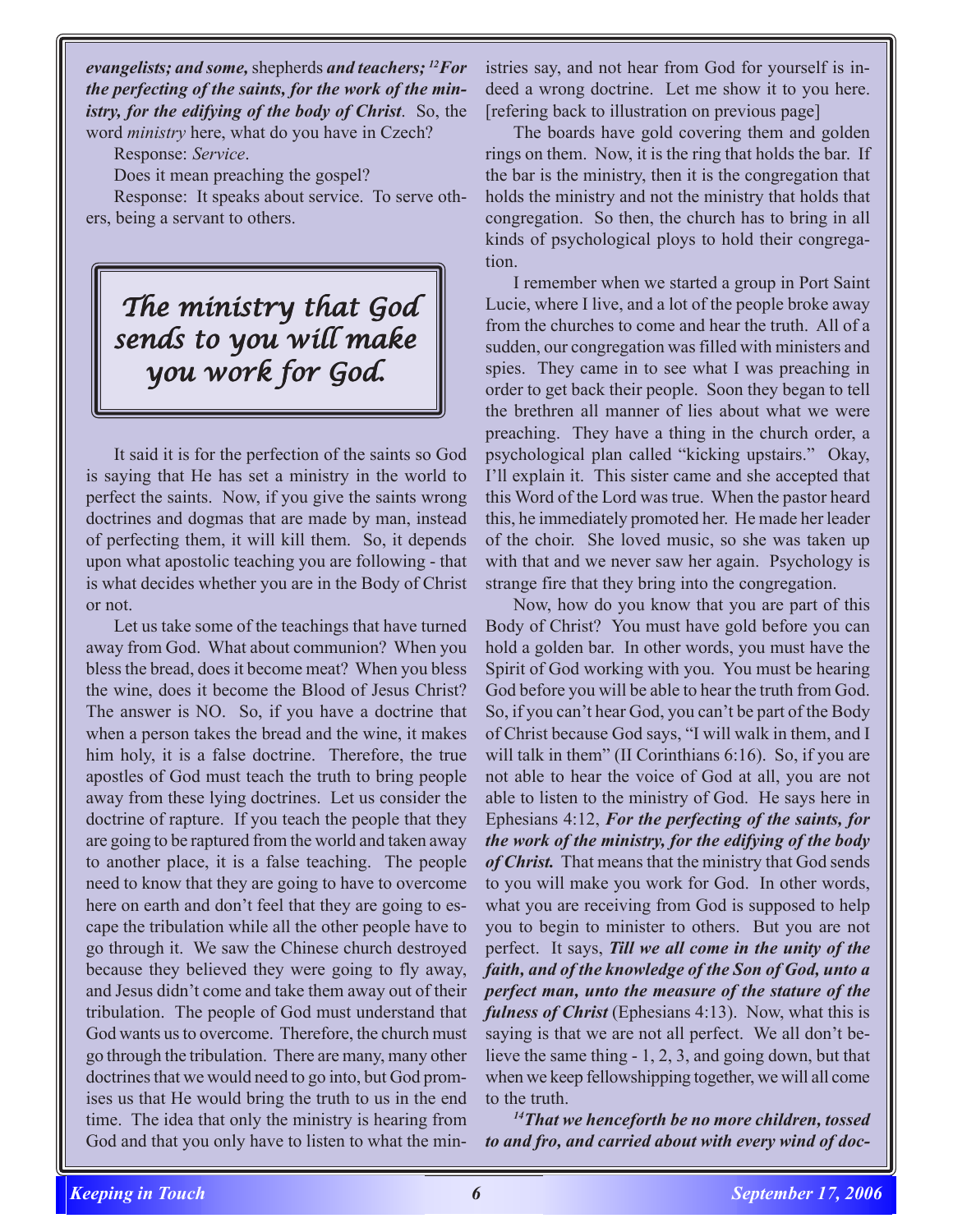*evangelists; and some,* shepherds *and teachers; 12For the perfecting of the saints, for the work of the ministry, for the edifying of the body of Christ*.So, the word *ministry* here, what do you have in Czech?

Response: *Service*.

Does it mean preaching the gospel?

Response: It speaks about service. To serve others, being a servant to others.

## *The ministry that God sends to you will make you work for God. work God.*

It said it is for the perfection of the saints so God is saying that He has set a ministry in the world to perfect the saints. Now, if you give the saints wrong doctrines and dogmas that are made by man, instead of perfecting them, it will kill them. So, it depends upon what apostolic teaching you are following - that is what decides whether you are in the Body of Christ or not.

Let us take some of the teachings that have turned away from God. What about communion? When you bless the bread, does it become meat? When you bless the wine, does it become the Blood of Jesus Christ? The answer is NO. So, if you have a doctrine that when a person takes the bread and the wine, it makes him holy, it is a false doctrine. Therefore, the true apostles of God must teach the truth to bring people away from these lying doctrines. Let us consider the doctrine of rapture. If you teach the people that they are going to be raptured from the world and taken away to another place, it is a false teaching. The people need to know that they are going to have to overcome here on earth and don't feel that they are going to escape the tribulation while all the other people have to go through it. We saw the Chinese church destroyed because they believed they were going to fly away, and Jesus didn't come and take them away out of their tribulation. The people of God must understand that God wants us to overcome. Therefore, the church must go through the tribulation. There are many, many other doctrines that we would need to go into, but God promises us that He would bring the truth to us in the end time. The idea that only the ministry is hearing from God and that you only have to listen to what the ministries say, and not hear from God for yourself is indeed a wrong doctrine. Let me show it to you here. [refering back to illustration on previous page]

The boards have gold covering them and golden rings on them. Now, it is the ring that holds the bar. If the bar is the ministry, then it is the congregation that holds the ministry and not the ministry that holds that congregation. So then, the church has to bring in all kinds of psychological ploys to hold their congregation.

I remember when we started a group in Port Saint Lucie, where I live, and a lot of the people broke away from the churches to come and hear the truth. All of a sudden, our congregation was filled with ministers and spies. They came in to see what I was preaching in order to get back their people. Soon they began to tell the brethren all manner of lies about what we were preaching. They have a thing in the church order, a psychological plan called "kicking upstairs." Okay, I'll explain it. This sister came and she accepted that this Word of the Lord was true. When the pastor heard this, he immediately promoted her. He made her leader of the choir. She loved music, so she was taken up with that and we never saw her again. Psychology is strange fire that they bring into the congregation.

Now, how do you know that you are part of this Body of Christ? You must have gold before you can hold a golden bar. In other words, you must have the Spirit of God working with you. You must be hearing God before you will be able to hear the truth from God. So, if you can't hear God, you can't be part of the Body of Christ because God says, "I will walk in them, and I will talk in them" (II Corinthians 6:16). So, if you are not able to hear the voice of God at all, you are not able to listen to the ministry of God. He says here in Ephesians 4:12, *For the perfecting of the saints, for the work of the ministry, for the edifying of the body of Christ.* That means that the ministry that God sends to you will make you work for God. In other words, what you are receiving from God is supposed to help you to begin to minister to others. But you are not perfect. It says, *Till we all come in the unity of the faith, and of the knowledge of the Son of God, unto a perfect man, unto the measure of the stature of the fulness of Christ* (Ephesians 4:13). Now, what this is saying is that we are not all perfect. We all don't believe the same thing - 1, 2, 3, and going down, but that when we keep fellowshipping together, we will all come to the truth.

*14That we henceforth be no more children, tossed to and fro, and carried about with every wind of doc-*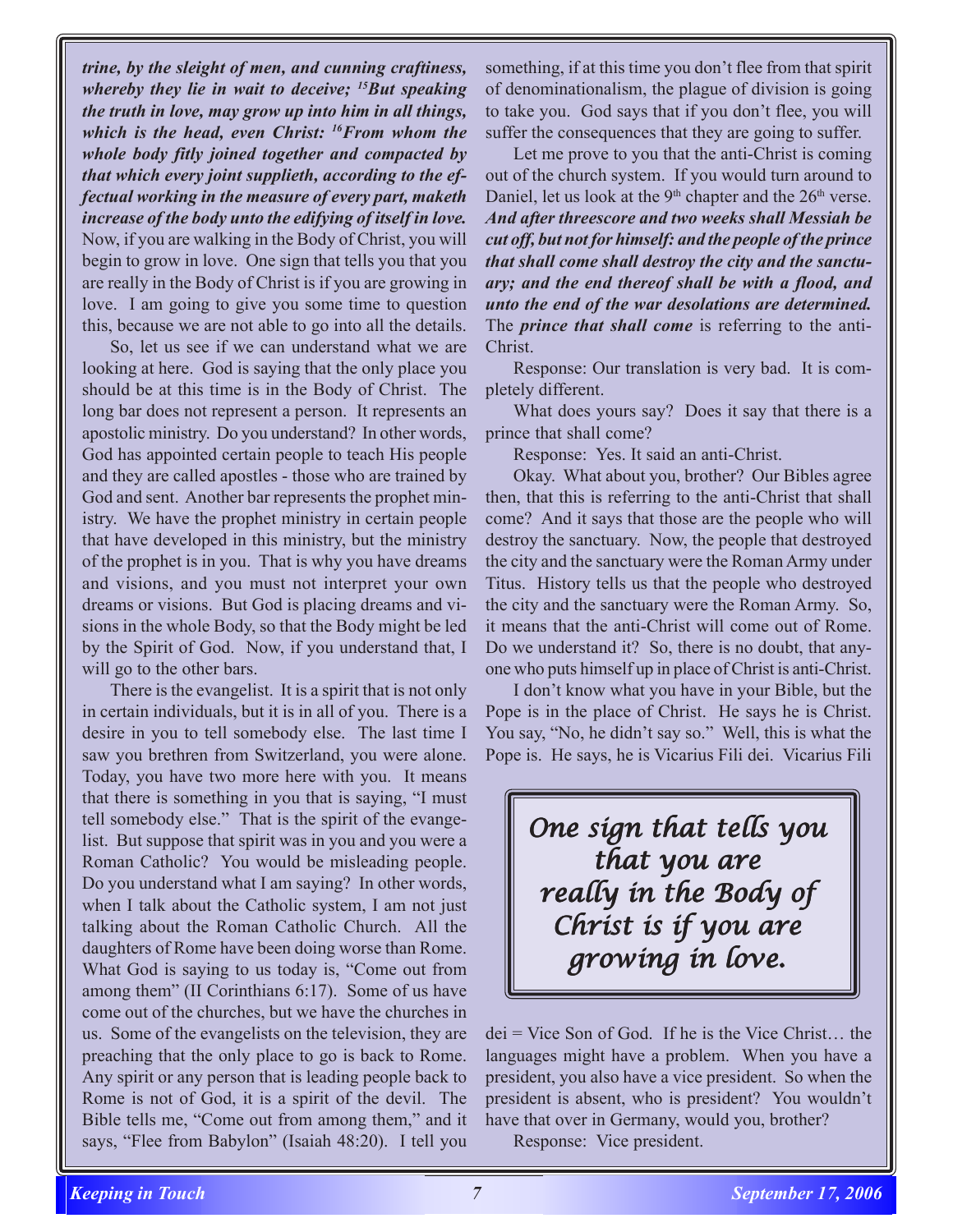*trine, by the sleight of men, and cunning craftiness, whereby they lie in wait to deceive; 15But speaking the truth in love, may grow up into him in all things, which is the head, even Christ: 16From whom the whole body fitly joined together and compacted by that which every joint supplieth, according to the effectual working in the measure of every part, maketh increase of the body unto the edifying of itself in love.* Now, if you are walking in the Body of Christ, you will begin to grow in love. One sign that tells you that you are really in the Body of Christ is if you are growing in love. I am going to give you some time to question this, because we are not able to go into all the details.

So, let us see if we can understand what we are looking at here. God is saying that the only place you should be at this time is in the Body of Christ. The long bar does not represent a person. It represents an apostolic ministry. Do you understand? In other words, God has appointed certain people to teach His people and they are called apostles - those who are trained by God and sent. Another bar represents the prophet ministry. We have the prophet ministry in certain people that have developed in this ministry, but the ministry of the prophet is in you. That is why you have dreams and visions, and you must not interpret your own dreams or visions. But God is placing dreams and visions in the whole Body, so that the Body might be led by the Spirit of God. Now, if you understand that, I will go to the other bars.

There is the evangelist. It is a spirit that is not only in certain individuals, but it is in all of you. There is a desire in you to tell somebody else. The last time I saw you brethren from Switzerland, you were alone. Today, you have two more here with you. It means that there is something in you that is saying, "I must tell somebody else." That is the spirit of the evangelist. But suppose that spirit was in you and you were a Roman Catholic? You would be misleading people. Do you understand what I am saying? In other words, when I talk about the Catholic system, I am not just talking about the Roman Catholic Church. All the daughters of Rome have been doing worse than Rome. What God is saying to us today is, "Come out from among them" (II Corinthians 6:17). Some of us have come out of the churches, but we have the churches in us. Some of the evangelists on the television, they are preaching that the only place to go is back to Rome. Any spirit or any person that is leading people back to Rome is not of God, it is a spirit of the devil. The Bible tells me, "Come out from among them," and it says, "Flee from Babylon" (Isaiah 48:20). I tell you

something, if at this time you don't flee from that spirit of denominationalism, the plague of division is going to take you. God says that if you don't flee, you will suffer the consequences that they are going to suffer.

Let me prove to you that the anti-Christ is coming out of the church system. If you would turn around to Daniel, let us look at the  $9<sup>th</sup>$  chapter and the  $26<sup>th</sup>$  verse. *And after threescore and two weeks shall Messiah be cut off, but not for himself: and the people of the prince that shall come shall destroy the city and the sanctuary; and the end thereof shall be with a flood, and unto the end of the war desolations are determined.* The *prince that shall come* is referring to the anti-Christ.

Response: Our translation is very bad. It is completely different.

What does yours say? Does it say that there is a prince that shall come?

Response: Yes. It said an anti-Christ.

Okay. What about you, brother? Our Bibles agree then, that this is referring to the anti-Christ that shall come? And it says that those are the people who will destroy the sanctuary. Now, the people that destroyed the city and the sanctuary were the Roman Army under Titus. History tells us that the people who destroyed the city and the sanctuary were the Roman Army. So, it means that the anti-Christ will come out of Rome. Do we understand it? So, there is no doubt, that anyone who puts himself up in place of Christ is anti-Christ.

I don't know what you have in your Bible, but the Pope is in the place of Christ. He says he is Christ. You say, "No, he didn't say so." Well, this is what the Pope is. He says, he is Vicarius Fili dei. Vicarius Fili

> *One sign that tells you that you are really in the Body of really in of Christ is if you are growing in love. growing love.*

dei = Vice Son of God. If he is the Vice Christ… the languages might have a problem. When you have a president, you also have a vice president. So when the president is absent, who is president? You wouldn't have that over in Germany, would you, brother?

Response: Vice president.